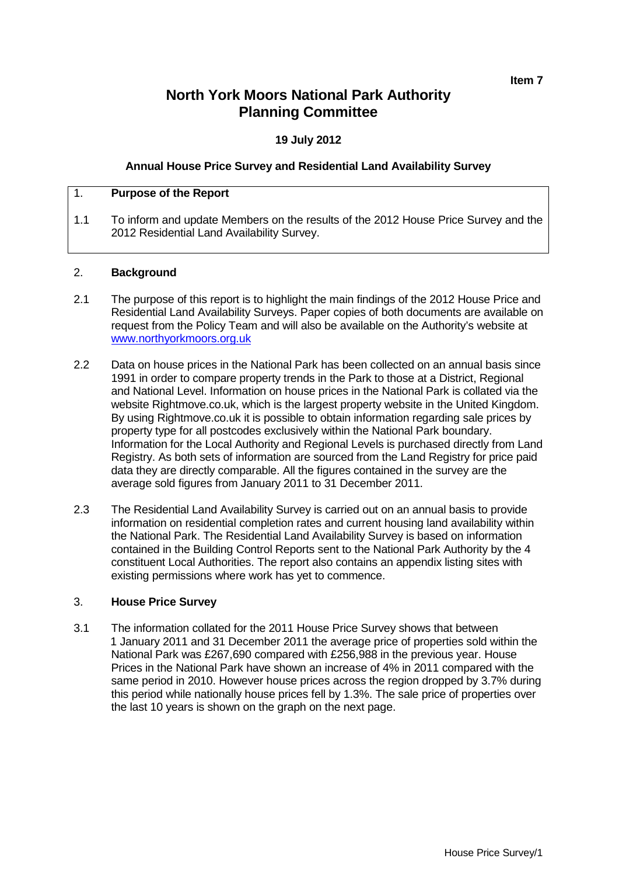# **North York Moors National Park Authority Planning Committee**

# **19 July 2012**

## **Annual House Price Survey and Residential Land Availability Survey**

## 1. **Purpose of the Report**

1.1 To inform and update Members on the results of the 2012 House Price Survey and the 2012 Residential Land Availability Survey.

#### 2. **Background**

- 2.1 The purpose of this report is to highlight the main findings of the 2012 House Price and Residential Land Availability Surveys. Paper copies of both documents are available on request from the Policy Team and will also be available on the Authority's website at [www.northyorkmoors.org.uk](http://www.northyorkmoors.org.uk/)
- 2.2 Data on house prices in the National Park has been collected on an annual basis since 1991 in order to compare property trends in the Park to those at a District, Regional and National Level. Information on house prices in the National Park is collated via the website Rightmove.co.uk, which is the largest property website in the United Kingdom. By using Rightmove.co.uk it is possible to obtain information regarding sale prices by property type for all postcodes exclusively within the National Park boundary. Information for the Local Authority and Regional Levels is purchased directly from Land Registry. As both sets of information are sourced from the Land Registry for price paid data they are directly comparable. All the figures contained in the survey are the average sold figures from January 2011 to 31 December 2011.
- 2.3 The Residential Land Availability Survey is carried out on an annual basis to provide information on residential completion rates and current housing land availability within the National Park. The Residential Land Availability Survey is based on information contained in the Building Control Reports sent to the National Park Authority by the 4 constituent Local Authorities. The report also contains an appendix listing sites with existing permissions where work has yet to commence.

#### 3. **House Price Survey**

3.1 The information collated for the 2011 House Price Survey shows that between 1 January 2011 and 31 December 2011 the average price of properties sold within the National Park was £267,690 compared with £256,988 in the previous year. House Prices in the National Park have shown an increase of 4% in 2011 compared with the same period in 2010. However house prices across the region dropped by 3.7% during this period while nationally house prices fell by 1.3%. The sale price of properties over the last 10 years is shown on the graph on the next page.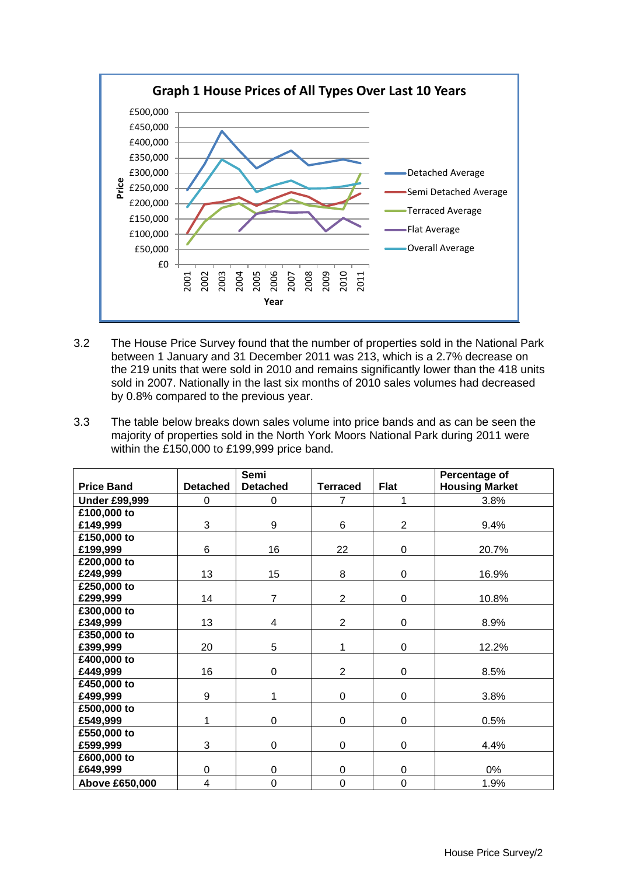

- 3.2 The House Price Survey found that the number of properties sold in the National Park between 1 January and 31 December 2011 was 213, which is a 2.7% decrease on the 219 units that were sold in 2010 and remains significantly lower than the 418 units sold in 2007. Nationally in the last six months of 2010 sales volumes had decreased by 0.8% compared to the previous year.
- 3.3 The table below breaks down sales volume into price bands and as can be seen the majority of properties sold in the North York Moors National Park during 2011 were within the £150,000 to £199,999 price band.

|                      |                 | Semi            |                 |                | Percentage of         |  |
|----------------------|-----------------|-----------------|-----------------|----------------|-----------------------|--|
| <b>Price Band</b>    | <b>Detached</b> | <b>Detached</b> | <b>Terraced</b> | <b>Flat</b>    | <b>Housing Market</b> |  |
| <b>Under £99,999</b> | 0               | $\mathbf 0$     | $\overline{7}$  | 1              | 3.8%                  |  |
| £100,000 to          |                 |                 |                 |                |                       |  |
| £149,999             | 3               | 9               | 6               | $\overline{2}$ | 9.4%                  |  |
| £150,000 to          |                 |                 |                 |                |                       |  |
| £199,999             | 6               | 16              | 22              | 0              | 20.7%                 |  |
| £200,000 to          |                 |                 |                 |                |                       |  |
| £249,999             | 13              | 15              | 8               | 0              | 16.9%                 |  |
| £250,000 to          |                 |                 |                 |                |                       |  |
| £299,999             | 14              | $\overline{7}$  | $\overline{2}$  | $\mathbf 0$    | 10.8%                 |  |
| £300,000 to          |                 |                 |                 |                |                       |  |
| £349,999             | 13              | 4               | $\overline{2}$  | $\mathbf 0$    | 8.9%                  |  |
| £350,000 to          |                 |                 |                 |                |                       |  |
| £399,999             | 20              | 5               | 1               | 0              | 12.2%                 |  |
| £400,000 to          |                 |                 |                 |                |                       |  |
| £449,999             | 16              | $\Omega$        | $\overline{2}$  | 0              | 8.5%                  |  |
| £450,000 to          |                 |                 |                 |                |                       |  |
| £499,999             | 9               | 1               | 0               | 0              | 3.8%                  |  |
| £500,000 to          |                 |                 |                 |                |                       |  |
| £549,999             | 1               | $\Omega$        | 0               | 0              | 0.5%                  |  |
| £550,000 to          |                 |                 |                 |                |                       |  |
| £599,999             | 3               | $\mathbf 0$     | 0               | $\mathbf 0$    | 4.4%                  |  |
| £600,000 to          |                 |                 |                 |                |                       |  |
| £649,999             | $\mathbf 0$     | 0               | 0               | 0              | 0%                    |  |
| Above £650,000       | 4               | $\overline{0}$  | 0               | 0              | 1.9%                  |  |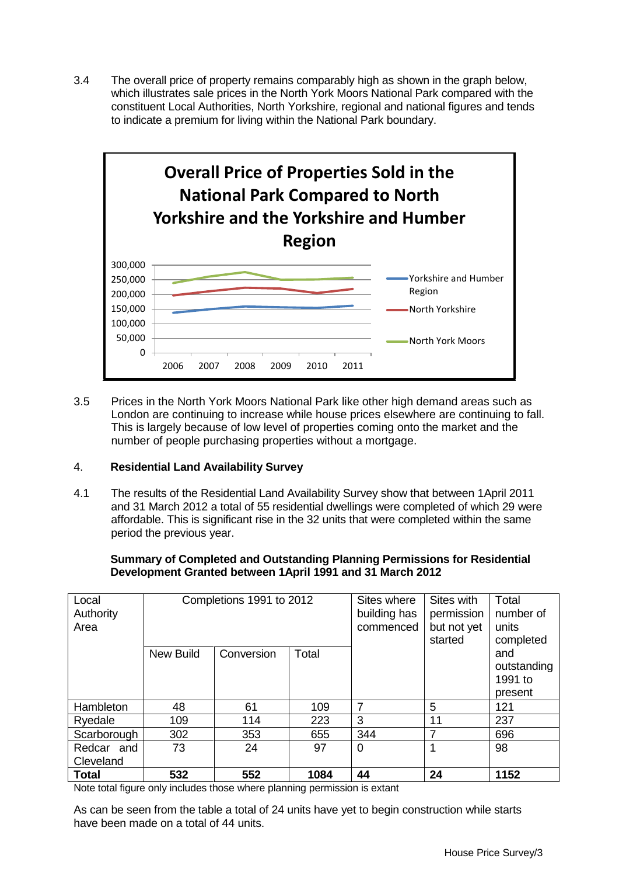3.4 The overall price of property remains comparably high as shown in the graph below, which illustrates sale prices in the North York Moors National Park compared with the constituent Local Authorities, North Yorkshire, regional and national figures and tends to indicate a premium for living within the National Park boundary.



3.5 Prices in the North York Moors National Park like other high demand areas such as London are continuing to increase while house prices elsewhere are continuing to fall. This is largely because of low level of properties coming onto the market and the number of people purchasing properties without a mortgage.

# 4. **Residential Land Availability Survey**

4.1 The results of the Residential Land Availability Survey show that between 1April 2011 and 31 March 2012 a total of 55 residential dwellings were completed of which 29 were affordable. This is significant rise in the 32 units that were completed within the same period the previous year.

## **Summary of Completed and Outstanding Planning Permissions for Residential Development Granted between 1April 1991 and 31 March 2012**

| Local<br>Authority<br>Area | Completions 1991 to 2012 |            |       | Sites where<br>building has<br>commenced | Sites with<br>permission<br>but not yet<br>started | Total<br>number of<br>units<br>completed |
|----------------------------|--------------------------|------------|-------|------------------------------------------|----------------------------------------------------|------------------------------------------|
|                            | <b>New Build</b>         | Conversion | Total |                                          |                                                    | and                                      |
|                            |                          |            |       |                                          |                                                    | outstanding                              |
|                            |                          |            |       |                                          |                                                    | 1991 to                                  |
|                            |                          |            |       |                                          |                                                    | present                                  |
| Hambleton                  | 48                       | 61         | 109   | 7                                        | 5                                                  | 121                                      |
| Ryedale                    | 109                      | 114        | 223   | 3                                        | 11                                                 | 237                                      |
| Scarborough                | 302                      | 353        | 655   | 344                                      | 7                                                  | 696                                      |
| Redcar and                 | 73                       | 24         | 97    | 0                                        | 1                                                  | 98                                       |
| Cleveland                  |                          |            |       |                                          |                                                    |                                          |
| <b>Total</b>               | 532                      | 552        | 1084  | 44                                       | 24                                                 | 1152                                     |

Note total figure only includes those where planning permission is extant

As can be seen from the table a total of 24 units have yet to begin construction while starts have been made on a total of 44 units.